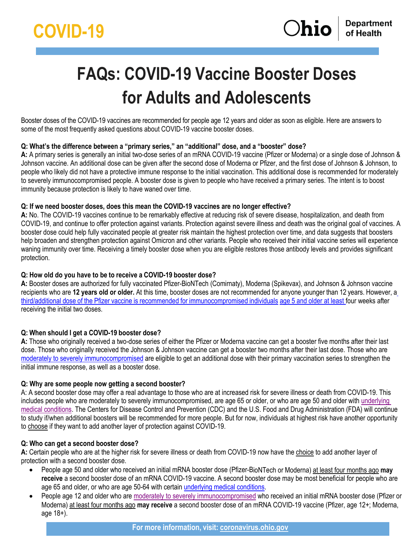# **FAQs: COVID-19 Vaccine Booster Doses for Adults and Adolescents**

Booster doses of the COVID-19 vaccines are recommended for people age 12 years and older as soon as eligible. Here are answers to some of the most frequently asked questions about COVID-19 vaccine booster doses.

# **Q: What's the difference between a "primary series," an "additional" dose, and a "booster" dose?**

**A:** A primary series is generally an initial two-dose series of an mRNA COVID-19 vaccine (Pfizer or Moderna) or a single dose of Johnson & Johnson vaccine. An additional dose can be given after the second dose of Moderna or Pfizer, and the first dose of Johnson & Johnson, to people who likely did not have a protective immune response to the initial vaccination. This additional dose is recommended for moderately to severely immunocompromised people. A booster dose is given to people who have received a primary series. The intent is to boost immunity because protection is likely to have waned over time.

## **Q: If we need booster doses, does this mean the COVID-19 vaccines are no longer effective?**

**A:** No. The COVID-19 vaccines continue to be remarkably effective at reducing risk of severe disease, hospitalization, and death from COVID-19, and continue to offer protection against variants. Protection against severe illness and death was the original goal of vaccines. A booster dose could help fully vaccinated people at greater risk maintain the highest protection over time, and data suggests that boosters help broaden and strengthen protection against Omicron and other variants. People who received their initial vaccine series will experience waning immunity over time. Receiving a timely booster dose when you are eligible restores those antibody levels and provides significant protection.

# **Q: How old do you have to be to receive a COVID-19 booster dose?**

**A:** Booster doses are authorized for fully vaccinated Pfizer-BioNTech (Comirnaty), Moderna (Spikevax), and Johnson & Johnson vaccine recipients who are **12 years old or older.** At this time, booster doses are not recommended for anyone younger than 12 years. However, [a](https://coronavirus.ohio.gov/static/docs/covid-19-fact-sheet-additional-dose-immunocompromised.pdf) third/additional dose of the Pfizer vaccine is [recommended fo](https://coronavirus.ohio.gov/static/docs/covid-19-fact-sheet-additional-dose-immunocompromised.pdf)r immunocompromised individuals age 5 and older at least four weeks after receiving the initial two doses.

# **Q: When should I get a COVID-19 booster dose?**

**A:** Those who originally received a two-dose series of either the Pfizer or Moderna vaccine can get a booster five months after their last dose. Those who originally received the Johnson & Johnson vaccine can get a booster two months after their last dose. Those who are [moderately to severely immunocompromised](https://coronavirus.ohio.gov/static/docs/vac-timelines-immunocompromised-individuals.pdf) are eligible to get an additional dose with their primary vaccination series to strengthen the initial immune response, as well as a booster dose.

#### **Q: Why are some people now getting a second booster?**

A: A second booster dose may offer a real advantage to those who are at increased risk for severe illness or death from COVID-19. This includes people who are moderately to severely immunocompromised, are age 65 or older, or who are age 50 and older with [underlying](https://www.cdc.gov/coronavirus/2019-ncov/hcp/clinical-care/underlyingconditions.html)  [medical conditions.](https://www.cdc.gov/coronavirus/2019-ncov/hcp/clinical-care/underlyingconditions.html) The Centers for Disease Control and Prevention (CDC) and the U.S. Food and Drug Administration (FDA) will continue to study if/when additional boosters will be recommended for more people. But for now, individuals at highest risk have another opportunity to choose if they want to add another layer of protection against COVID-19.

#### **Q: Who can get a second booster dose?**

A: Certain people who are at the higher risk for severe illness or death from COVID-19 now have the choice to add another layer of protection with a second booster dose.

- People age 50 and older who received an initial mRNA booster dose (Pfizer-BioNTech or Moderna) at least four months ago **may receive** a second booster dose of an mRNA COVID-19 vaccine. A second booster dose may be most beneficial for people who are age 65 and older, or who are age 50-64 with certain [underlying medical conditions.](https://www.cdc.gov/coronavirus/2019-ncov/hcp/clinical-care/underlyingconditions.html)
- People age 12 and older who are [moderately to severely immunocompromised](https://www.cdc.gov/coronavirus/2019-ncov/vaccines/recommendations/immuno.html?s_cid=10483:immunocompromised%20covid%20vaccine:sem.ga:p:RG:GM:gen:PTN:FY21#mod) who received an initial mRNA booster dose (Pfizer or Moderna) at least four months ago **may receive** a second booster dose of an mRNA COVID-19 vaccine (Pfizer, age 12+; Moderna, age 18+).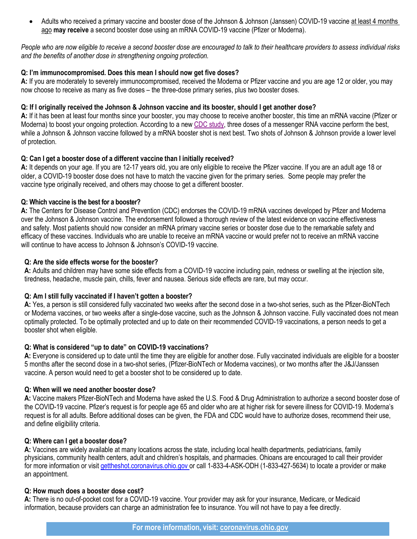• Adults who received a primary vaccine and booster dose of the Johnson & Johnson (Janssen) COVID-19 vaccine at least 4 months ago **may receive** a second booster dose using an mRNA COVID-19 vaccine (Pfizer or Moderna).

*People who are now eligible to receive a second booster dose are encouraged to talk to their healthcare providers to assess individual risks and the benefits of another dose in strengthening ongoing protection.* 

## **Q: I'm immunocompromised. Does this mean I should now get five doses?**

**A:** If you are moderately to severely immunocompromised, received the Moderna or Pfizer vaccine and you are age 12 or older, you may now choose to receive as many as five doses – the three-dose primary series, plus two booster doses.

#### **Q: If I originally received the Johnson & Johnson vaccine and its booster, should I get another dose?**

**A:** If it has been at least four months since your booster, you may choose to receive another booster, this time an mRNA vaccine (Pfizer or Moderna) to boost your ongoing protection. According to a new [CDC study,](https://www.cdc.gov/mmwr/volumes/71/wr/mm7113e2.htm?s_cid=mm7113e2_w) three doses of a messenger RNA vaccine perform the best, while a Johnson & Johnson vaccine followed by a mRNA booster shot is next best. Two shots of Johnson & Johnson provide a lower level of protection.

## **Q: Can I get a booster dose of a different vaccine than I initially received?**

**A:** It depends on your age. If you are 12-17 years old, you are only eligible to receive the Pfizer vaccine. If you are an adult age 18 or older, a COVID-19 booster dose does not have to match the vaccine given for the primary series. Some people may prefer the vaccine type originally received, and others may choose to get a different booster.

## **Q: Which vaccine is the best for a booster?**

**A:** The Centers for Disease Control and Prevention (CDC) endorses the COVID-19 mRNA vaccines developed by Pfizer and Moderna over the Johnson & Johnson vaccine. The endorsement followed a thorough review of the latest evidence on vaccine effectiveness and safety. Most patients should now consider an mRNA primary vaccine series or booster dose due to the remarkable safety and efficacy of these vaccines. Individuals who are unable to receive an mRNA vaccine or would prefer not to receive an mRNA vaccine will continue to have access to Johnson & Johnson's COVID-19 vaccine.

## **Q: Are the side effects worse for the booster?**

**A:** Adults and children may have some side effects from a COVID-19 vaccine including pain, redness or swelling at the injection site, tiredness, headache, muscle pain, chills, fever and nausea. Serious side effects are rare, but may occur.

# **Q: Am I still fully vaccinated if I haven't gotten a booster?**

**A:** Yes, a person is still considered fully vaccinated two weeks after the second dose in a two-shot series, such as the Pfizer-BioNTech or Moderna vaccines, or two weeks after a single-dose vaccine, such as the Johnson & Johnson vaccine. Fully vaccinated does not mean optimally protected. To be optimally protected and up to date on their recommended COVID-19 vaccinations, a person needs to get a booster shot when eligible.

# **Q: What is considered "up to date" on COVID-19 vaccinations?**

**A:** Everyone is considered up to date until the time they are eligible for another dose. Fully vaccinated individuals are eligible for a booster 5 months after the second dose in a two-shot series, (Pfizer-BioNTech or Moderna vaccines), or two months after the J&J/Janssen vaccine. A person would need to get a booster shot to be considered up to date.

# **Q: When will we need another booster dose?**

**A:** Vaccine makers Pfizer-BioNTech and Moderna have asked the U.S. Food & Drug Administration to authorize a second booster dose of the COVID-19 vaccine. Pfizer's request is for people age 65 and older who are at higher risk for severe illness for COVID-19. Moderna's request is for all adults. Before additional doses can be given, the FDA and CDC would have to authorize doses, recommend their use, and define eligibility criteria.

#### **Q: Where can I get a booster dose?**

**A:** Vaccines are widely available at many locations across the state, including local health departments, pediatricians, family physicians, community health centers, adult and children's hospitals, and pharmacies. Ohioans are encouraged to call their provider for more information or visit *[gettheshot.coronavirus.ohio.gov](https://gettheshot.coronavirus.ohio.gov/)* or call 1-833-4-ASK-ODH (1-833-427-5634) to locate a provider or make an appointment.

#### **Q: How much does a booster dose cost?**

**A:** There is no out-of-pocket cost for a COVID-19 vaccine. Your provider may ask for your insurance, Medicare, or Medicaid information, because providers can charge an administration fee to insurance. You will not have to pay a fee directly.